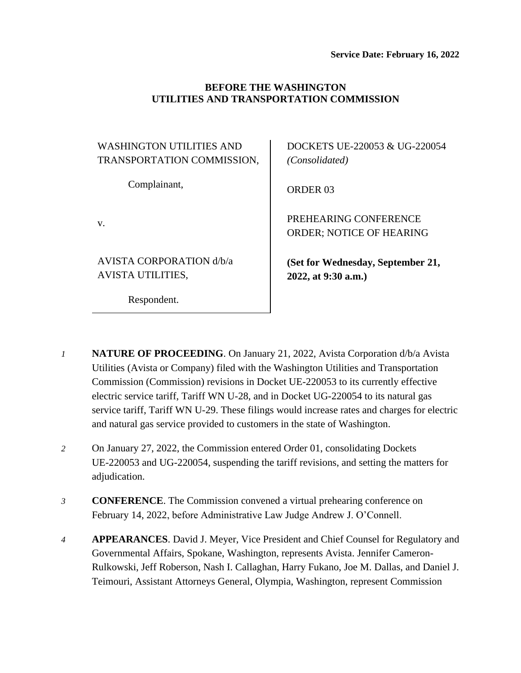### **BEFORE THE WASHINGTON UTILITIES AND TRANSPORTATION COMMISSION**

| <b>WASHINGTON UTILITIES AND</b><br>TRANSPORTATION COMMISSION, | DOCKETS UE-220053 & UG-220054<br>(Consolidated)          |
|---------------------------------------------------------------|----------------------------------------------------------|
| Complainant,                                                  | ORDER <sub>03</sub>                                      |
| V.                                                            | PREHEARING CONFERENCE<br><b>ORDER: NOTICE OF HEARING</b> |
| AVISTA CORPORATION d/b/a<br><b>AVISTA UTILITIES,</b>          | (Set for Wednesday, September 21,<br>2022, at 9:30 a.m.) |
| Respondent.                                                   |                                                          |

- *1* **NATURE OF PROCEEDING**. On January 21, 2022, Avista Corporation d/b/a Avista Utilities (Avista or Company) filed with the Washington Utilities and Transportation Commission (Commission) revisions in Docket UE-220053 to its currently effective electric service tariff, Tariff WN U-28, and in Docket UG-220054 to its natural gas service tariff, Tariff WN U-29. These filings would increase rates and charges for electric and natural gas service provided to customers in the state of Washington.
- *2* On January 27, 2022, the Commission entered Order 01, consolidating Dockets UE-220053 and UG-220054, suspending the tariff revisions, and setting the matters for adjudication.
- *3* **CONFERENCE**. The Commission convened a virtual prehearing conference on February 14, 2022, before Administrative Law Judge Andrew J. O'Connell.
- *4* **APPEARANCES**. David J. Meyer, Vice President and Chief Counsel for Regulatory and Governmental Affairs, Spokane, Washington, represents Avista. Jennifer Cameron-Rulkowski, Jeff Roberson, Nash I. Callaghan, Harry Fukano, Joe M. Dallas, and Daniel J. Teimouri, Assistant Attorneys General, Olympia, Washington, represent Commission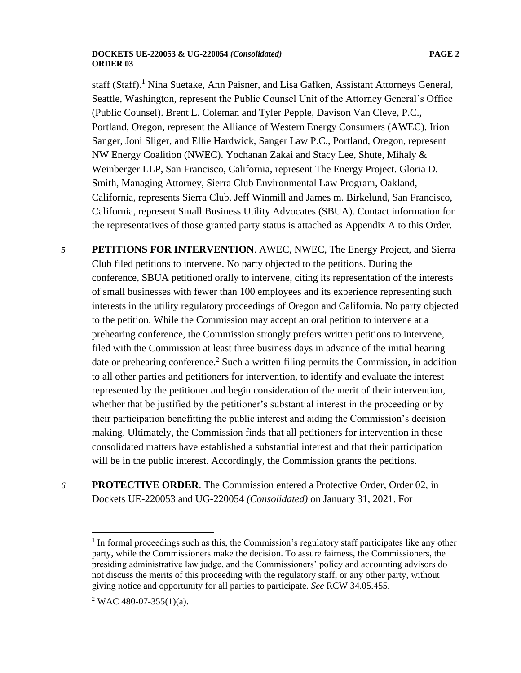#### **DOCKETS UE-220053 & UG-220054** *(Consolidated)* **PAGE 2 ORDER 03**

staff (Staff). <sup>1</sup> Nina Suetake, Ann Paisner, and Lisa Gafken, Assistant Attorneys General, Seattle, Washington, represent the Public Counsel Unit of the Attorney General's Office (Public Counsel). Brent L. Coleman and Tyler Pepple, Davison Van Cleve, P.C., Portland, Oregon, represent the Alliance of Western Energy Consumers (AWEC). Irion Sanger, Joni Sliger, and Ellie Hardwick, Sanger Law P.C., Portland, Oregon, represent NW Energy Coalition (NWEC). Yochanan Zakai and Stacy Lee, Shute, Mihaly & Weinberger LLP, San Francisco, California, represent The Energy Project. Gloria D. Smith, Managing Attorney, Sierra Club Environmental Law Program, Oakland, California, represents Sierra Club. Jeff Winmill and James m. Birkelund, San Francisco, California, represent Small Business Utility Advocates (SBUA). Contact information for the representatives of those granted party status is attached as Appendix A to this Order.

*5* **PETITIONS FOR INTERVENTION**. AWEC, NWEC, The Energy Project, and Sierra Club filed petitions to intervene. No party objected to the petitions. During the conference, SBUA petitioned orally to intervene, citing its representation of the interests of small businesses with fewer than 100 employees and its experience representing such interests in the utility regulatory proceedings of Oregon and California. No party objected to the petition. While the Commission may accept an oral petition to intervene at a prehearing conference, the Commission strongly prefers written petitions to intervene, filed with the Commission at least three business days in advance of the initial hearing date or prehearing conference.<sup>2</sup> Such a written filing permits the Commission, in addition to all other parties and petitioners for intervention, to identify and evaluate the interest represented by the petitioner and begin consideration of the merit of their intervention, whether that be justified by the petitioner's substantial interest in the proceeding or by their participation benefitting the public interest and aiding the Commission's decision making. Ultimately, the Commission finds that all petitioners for intervention in these consolidated matters have established a substantial interest and that their participation will be in the public interest. Accordingly, the Commission grants the petitions.

*6* **PROTECTIVE ORDER**. The Commission entered a Protective Order, Order 02, in Dockets UE-220053 and UG-220054 *(Consolidated)* on January 31, 2021. For

 $<sup>1</sup>$  In formal proceedings such as this, the Commission's regulatory staff participates like any other</sup> party, while the Commissioners make the decision. To assure fairness, the Commissioners, the presiding administrative law judge, and the Commissioners' policy and accounting advisors do not discuss the merits of this proceeding with the regulatory staff, or any other party, without giving notice and opportunity for all parties to participate. *See* RCW 34.05.455.

<sup>&</sup>lt;sup>2</sup> WAC 480-07-355(1)(a).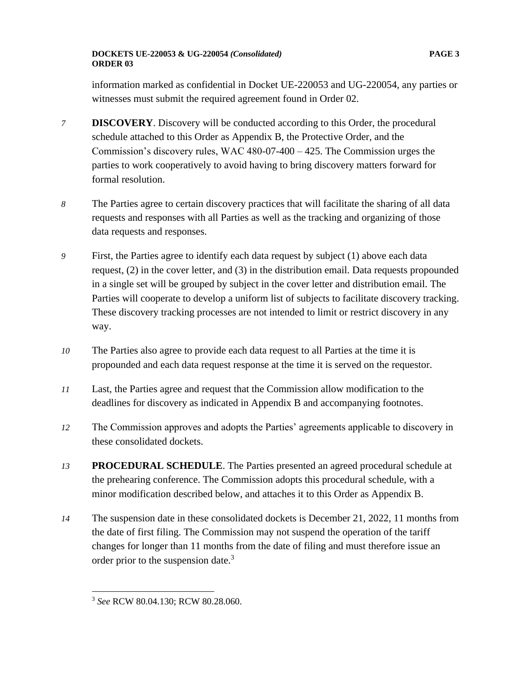### **DOCKETS UE-220053 & UG-220054** *(Consolidated)* **PAGE 3 ORDER 03**

information marked as confidential in Docket UE-220053 and UG-220054, any parties or witnesses must submit the required agreement found in Order 02.

- *7* **DISCOVERY**. Discovery will be conducted according to this Order, the procedural schedule attached to this Order as Appendix B, the Protective Order, and the Commission's discovery rules, WAC 480-07-400 – 425. The Commission urges the parties to work cooperatively to avoid having to bring discovery matters forward for formal resolution.
- *8* The Parties agree to certain discovery practices that will facilitate the sharing of all data requests and responses with all Parties as well as the tracking and organizing of those data requests and responses.
- *9* First, the Parties agree to identify each data request by subject (1) above each data request, (2) in the cover letter, and (3) in the distribution email. Data requests propounded in a single set will be grouped by subject in the cover letter and distribution email. The Parties will cooperate to develop a uniform list of subjects to facilitate discovery tracking. These discovery tracking processes are not intended to limit or restrict discovery in any way.
- *10* The Parties also agree to provide each data request to all Parties at the time it is propounded and each data request response at the time it is served on the requestor.
- *11* Last, the Parties agree and request that the Commission allow modification to the deadlines for discovery as indicated in Appendix B and accompanying footnotes.
- *12* The Commission approves and adopts the Parties' agreements applicable to discovery in these consolidated dockets.
- *13* **PROCEDURAL SCHEDULE**. The Parties presented an agreed procedural schedule at the prehearing conference. The Commission adopts this procedural schedule, with a minor modification described below, and attaches it to this Order as Appendix B.
- *14* The suspension date in these consolidated dockets is December 21, 2022, 11 months from the date of first filing. The Commission may not suspend the operation of the tariff changes for longer than 11 months from the date of filing and must therefore issue an order prior to the suspension date.<sup>3</sup>

<sup>3</sup> *See* RCW 80.04.130; RCW 80.28.060.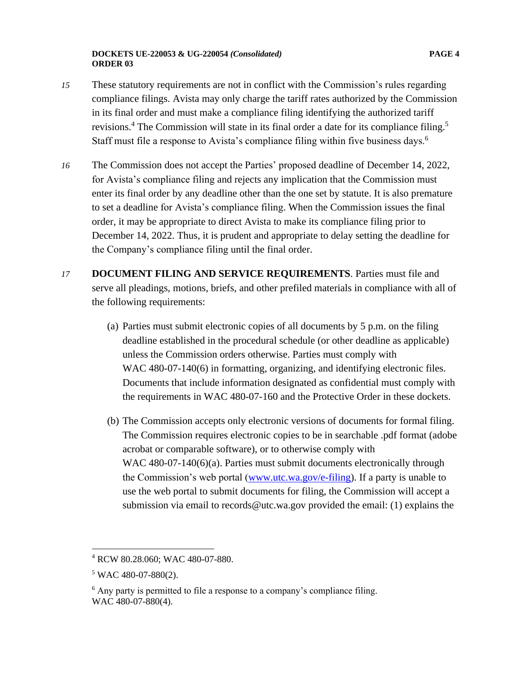### **DOCKETS UE-220053 & UG-220054** *(Consolidated)* **PAGE 4 ORDER 03**

- *15* These statutory requirements are not in conflict with the Commission's rules regarding compliance filings. Avista may only charge the tariff rates authorized by the Commission in its final order and must make a compliance filing identifying the authorized tariff revisions.<sup>4</sup> The Commission will state in its final order a date for its compliance filing.<sup>5</sup> Staff must file a response to Avista's compliance filing within five business days.<sup>6</sup>
- *16* The Commission does not accept the Parties' proposed deadline of December 14, 2022, for Avista's compliance filing and rejects any implication that the Commission must enter its final order by any deadline other than the one set by statute. It is also premature to set a deadline for Avista's compliance filing. When the Commission issues the final order, it may be appropriate to direct Avista to make its compliance filing prior to December 14, 2022. Thus, it is prudent and appropriate to delay setting the deadline for the Company's compliance filing until the final order.
- *17* **DOCUMENT FILING AND SERVICE REQUIREMENTS**. Parties must file and serve all pleadings, motions, briefs, and other prefiled materials in compliance with all of the following requirements:
	- (a) Parties must submit electronic copies of all documents by 5 p.m. on the filing deadline established in the procedural schedule (or other deadline as applicable) unless the Commission orders otherwise. Parties must comply with WAC 480-07-140(6) in formatting, organizing, and identifying electronic files. Documents that include information designated as confidential must comply with the requirements in WAC 480-07-160 and the Protective Order in these dockets.
	- (b) The Commission accepts only electronic versions of documents for formal filing. The Commission requires electronic copies to be in searchable .pdf format (adobe acrobat or comparable software), or to otherwise comply with WAC 480-07-140(6)(a). Parties must submit documents electronically through the Commission's web portal [\(www.utc.wa.gov/e-filing\)](http://www.utc.wa.gov/e-filing). If a party is unable to use the web portal to submit documents for filing, the Commission will accept a submission via email to records@utc.wa.gov provided the email: (1) explains the

<sup>4</sup> RCW 80.28.060; WAC 480-07-880.

 $5$  WAC 480-07-880(2).

 $6$  Any party is permitted to file a response to a company's compliance filing. WAC 480-07-880(4).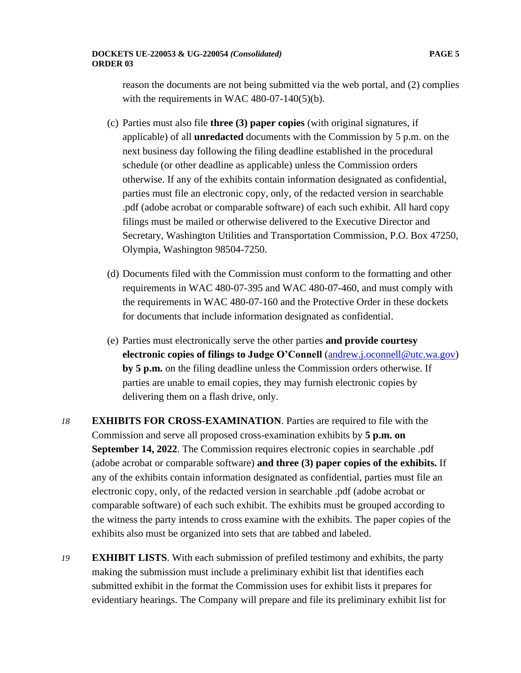reason the documents are not being submitted via the web portal, and (2) complies with the requirements in WAC 480-07-140 $(5)(b)$ .

- (c) Parties must also file **three (3) paper copies** (with original signatures, if applicable) of all **unredacted** documents with the Commission by 5 p.m. on the next business day following the filing deadline established in the procedural schedule (or other deadline as applicable) unless the Commission orders otherwise. If any of the exhibits contain information designated as confidential, parties must file an electronic copy, only, of the redacted version in searchable .pdf (adobe acrobat or comparable software) of each such exhibit. All hard copy filings must be mailed or otherwise delivered to the Executive Director and Secretary, Washington Utilities and Transportation Commission, P.O. Box 47250, Olympia, Washington 98504-7250.
- (d) Documents filed with the Commission must conform to the formatting and other requirements in WAC 480-07-395 and WAC 480-07-460, and must comply with the requirements in WAC 480-07-160 and the Protective Order in these dockets for documents that include information designated as confidential.
- (e) Parties must electronically serve the other parties **and provide courtesy electronic copies of filings to Judge O'Connell** [\(andrew.j.oconnell@utc.wa.gov\)](mailto:andrew.j.oconnell@utc.wa.gov) **by 5 p.m.** on the filing deadline unless the Commission orders otherwise. If parties are unable to email copies, they may furnish electronic copies by delivering them on a flash drive, only.
- *18* **EXHIBITS FOR CROSS-EXAMINATION**. Parties are required to file with the Commission and serve all proposed cross-examination exhibits by **5 p.m. on September 14, 2022**. The Commission requires electronic copies in searchable .pdf (adobe acrobat or comparable software) **and three (3) paper copies of the exhibits.** If any of the exhibits contain information designated as confidential, parties must file an electronic copy, only, of the redacted version in searchable .pdf (adobe acrobat or comparable software) of each such exhibit. The exhibits must be grouped according to the witness the party intends to cross examine with the exhibits. The paper copies of the exhibits also must be organized into sets that are tabbed and labeled.
- *19* **EXHIBIT LISTS**. With each submission of prefiled testimony and exhibits, the party making the submission must include a preliminary exhibit list that identifies each submitted exhibit in the format the Commission uses for exhibit lists it prepares for evidentiary hearings. The Company will prepare and file its preliminary exhibit list for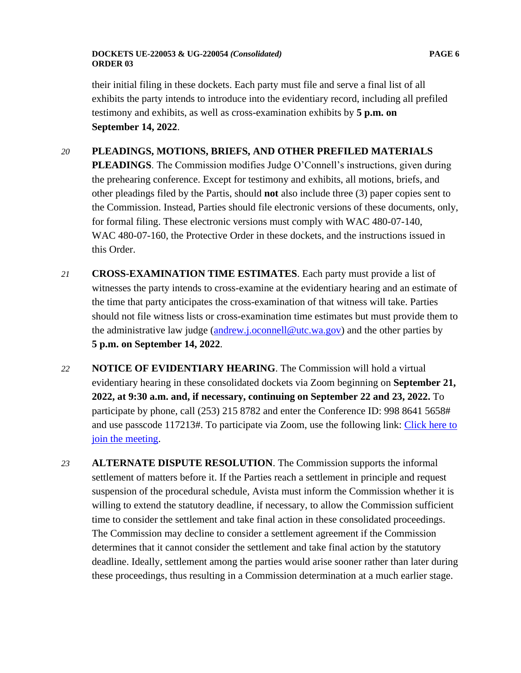### **DOCKETS UE-220053 & UG-220054** *(Consolidated)* **PAGE 6 ORDER 03**

# *20* **PLEADINGS, MOTIONS, BRIEFS, AND OTHER PREFILED MATERIALS**

**PLEADINGS**. The Commission modifies Judge O'Connell's instructions, given during the prehearing conference. Except for testimony and exhibits, all motions, briefs, and other pleadings filed by the Partis, should **not** also include three (3) paper copies sent to the Commission. Instead, Parties should file electronic versions of these documents, only, for formal filing. These electronic versions must comply with WAC 480-07-140, WAC 480-07-160, the Protective Order in these dockets, and the instructions issued in this Order.

- *21* **CROSS-EXAMINATION TIME ESTIMATES**. Each party must provide a list of witnesses the party intends to cross-examine at the evidentiary hearing and an estimate of the time that party anticipates the cross-examination of that witness will take. Parties should not file witness lists or cross-examination time estimates but must provide them to the administrative law judge [\(andrew.j.oconnell@utc.wa.gov\)](mailto:andrew.j.oconnell@utc.wa.gov) and the other parties by **5 p.m. on September 14, 2022**.
- *22* **NOTICE OF EVIDENTIARY HEARING**. The Commission will hold a virtual evidentiary hearing in these consolidated dockets via Zoom beginning on **September 21, 2022, at 9:30 a.m. and, if necessary, continuing on September 22 and 23, 2022.** To participate by phone, call (253) 215 8782 and enter the Conference ID: 998 8641 5658# and use passcode 117213#. To participate via Zoom, use the following link: [Click here to](https://utc-wa-gov.zoom.us/j/99886415658?pwd=aUlkREozSmREdVEyVHVIazBzMUE3UT09)  [join the meeting.](https://utc-wa-gov.zoom.us/j/99886415658?pwd=aUlkREozSmREdVEyVHVIazBzMUE3UT09)
- *23* **ALTERNATE DISPUTE RESOLUTION**. The Commission supports the informal settlement of matters before it. If the Parties reach a settlement in principle and request suspension of the procedural schedule, Avista must inform the Commission whether it is willing to extend the statutory deadline, if necessary, to allow the Commission sufficient time to consider the settlement and take final action in these consolidated proceedings. The Commission may decline to consider a settlement agreement if the Commission determines that it cannot consider the settlement and take final action by the statutory deadline. Ideally, settlement among the parties would arise sooner rather than later during these proceedings, thus resulting in a Commission determination at a much earlier stage.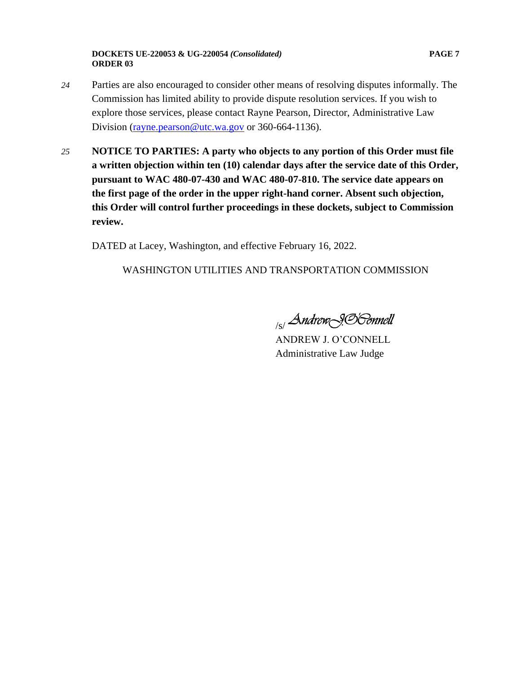**DOCKETS UE-220053 & UG-220054** *(Consolidated)* **PAGE 7 ORDER 03**

- *24* Parties are also encouraged to consider other means of resolving disputes informally. The Commission has limited ability to provide dispute resolution services. If you wish to explore those services, please contact Rayne Pearson, Director, Administrative Law Division [\(rayne.pearson@utc.wa.gov](mailto:rayne.pearson@utc.wa.gov) or 360-664-1136).
- *25* **NOTICE TO PARTIES: A party who objects to any portion of this Order must file a written objection within ten (10) calendar days after the service date of this Order, pursuant to WAC 480-07-430 and WAC 480-07-810. The service date appears on the first page of the order in the upper right-hand corner. Absent such objection, this Order will control further proceedings in these dockets, subject to Commission review.**

DATED at Lacey, Washington, and effective February 16, 2022.

# WASHINGTON UTILITIES AND TRANSPORTATION COMMISSION

<sub>/s/</sub>Andrew<sub>\</sub>9.S'&onnell

ANDREW J. O'CONNELL Administrative Law Judge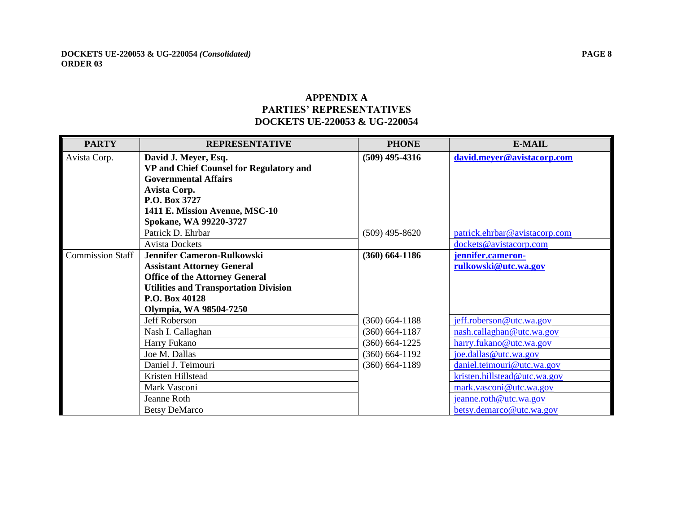# **APPENDIX A PARTIES' REPRESENTATIVES DOCKETS UE-220053 & UG-220054**

| <b>PARTY</b>            | <b>REPRESENTATIVE</b>                                                  | <b>PHONE</b>                             | <b>E-MAIL</b>                 |
|-------------------------|------------------------------------------------------------------------|------------------------------------------|-------------------------------|
| Avista Corp.            | David J. Meyer, Esq.                                                   | $(509)$ 495-4316                         | david.meyer@avistacorp.com    |
|                         | VP and Chief Counsel for Regulatory and<br><b>Governmental Affairs</b> |                                          |                               |
|                         | Avista Corp.                                                           |                                          |                               |
|                         | P.O. Box 3727                                                          |                                          |                               |
|                         | 1411 E. Mission Avenue, MSC-10                                         |                                          |                               |
|                         | Spokane, WA 99220-3727                                                 |                                          |                               |
|                         | Patrick D. Ehrbar                                                      | $(509)$ 495-8620                         | patrick.ehrbar@avistacorp.com |
|                         | <b>Avista Dockets</b>                                                  |                                          | dockets@avistacorp.com        |
| <b>Commission Staff</b> | <b>Jennifer Cameron-Rulkowski</b>                                      | $(360)$ 664-1186                         | jennifer.cameron-             |
|                         | <b>Assistant Attorney General</b>                                      |                                          | rulkowski@utc.wa.gov          |
|                         | <b>Office of the Attorney General</b>                                  |                                          |                               |
|                         | <b>Utilities and Transportation Division</b>                           |                                          |                               |
|                         | P.O. Box 40128                                                         |                                          |                               |
|                         | Olympia, WA 98504-7250                                                 |                                          |                               |
|                         | Jeff Roberson                                                          | $(360) 664 - 1188$                       | jeff.roberson@utc.wa.gov      |
|                         | Nash I. Callaghan                                                      | $(360) 664 - 1187$                       | nash.callaghan@utc.wa.gov     |
|                         | Harry Fukano                                                           | $(360) 664 - 1225$                       | harry.fukano@utc.wa.gov       |
|                         | Joe M. Dallas                                                          | $(360) 664 - 1192$<br>$(360) 664 - 1189$ | joe.dallas@utc.wa.gov         |
|                         | Daniel J. Teimouri                                                     |                                          | daniel.teimouri@utc.wa.gov    |
|                         | Kristen Hillstead                                                      |                                          | kristen.hillstead@utc.wa.gov  |
|                         | Mark Vasconi                                                           |                                          | mark.vasconi@utc.wa.gov       |
|                         | Jeanne Roth                                                            |                                          | jeanne.roth@utc.wa.gov        |
|                         | <b>Betsy DeMarco</b>                                                   |                                          | betsy.demarco@utc.wa.gov      |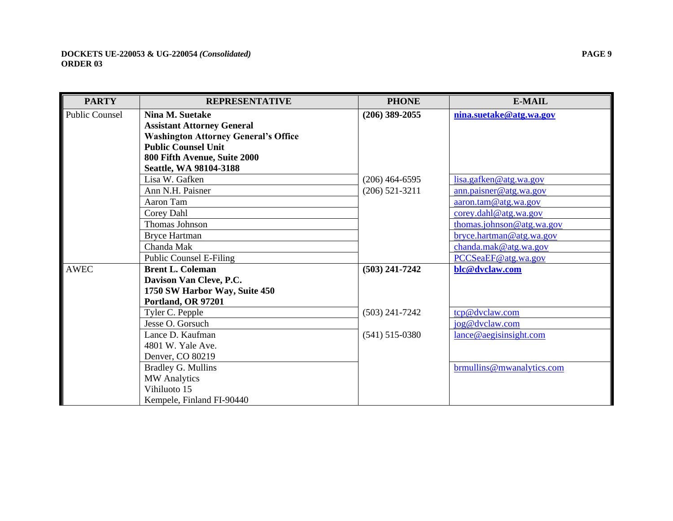| <b>PARTY</b>          | <b>REPRESENTATIVE</b>                       | <b>PHONE</b>     | <b>E-MAIL</b>             |
|-----------------------|---------------------------------------------|------------------|---------------------------|
| <b>Public Counsel</b> | Nina M. Suetake                             | $(206)$ 389-2055 | nina.suetake@atg.wa.gov   |
|                       | <b>Assistant Attorney General</b>           |                  |                           |
|                       | <b>Washington Attorney General's Office</b> |                  |                           |
|                       | <b>Public Counsel Unit</b>                  |                  |                           |
|                       | 800 Fifth Avenue, Suite 2000                |                  |                           |
|                       | Seattle, WA 98104-3188                      |                  |                           |
|                       | Lisa W. Gafken                              | $(206)$ 464-6595 | lisa.gafken@atg.wa.gov    |
|                       | Ann N.H. Paisner                            | $(206)$ 521-3211 | ann.paisner@atg.wa.gov    |
|                       | Aaron Tam                                   |                  | aaron.tam@atg.wa.gov      |
|                       | Corey Dahl                                  |                  | corey.dahl@atg.wa.gov     |
|                       | Thomas Johnson                              |                  | thomas.johnson@atg.wa.gov |
|                       | <b>Bryce Hartman</b>                        |                  | bryce.hartman@atg.wa.gov  |
|                       | Chanda Mak                                  |                  | chanda.mak@atg.wa.gov     |
|                       | <b>Public Counsel E-Filing</b>              |                  | PCCSeaEF@atg.wa.gov       |
| <b>AWEC</b>           | <b>Brent L. Coleman</b>                     | $(503)$ 241-7242 | blc@dvclaw.com            |
|                       | Davison Van Cleve, P.C.                     |                  |                           |
|                       | 1750 SW Harbor Way, Suite 450               |                  |                           |
|                       | Portland, OR 97201                          |                  |                           |
|                       | Tyler C. Pepple                             | $(503)$ 241-7242 | tcp@dvclaw.com            |
|                       | Jesse O. Gorsuch                            |                  | jog@dvclaw.com            |
|                       | Lance D. Kaufman                            | $(541)$ 515-0380 | lance@aegisinght.com      |
|                       | 4801 W. Yale Ave.                           |                  |                           |
|                       | Denver, CO 80219                            |                  |                           |
|                       | <b>Bradley G. Mullins</b>                   |                  | brmullins@mwanalytics.com |
|                       | <b>MW</b> Analytics                         |                  |                           |
|                       | Vihiluoto 15                                |                  |                           |
|                       | Kempele, Finland FI-90440                   |                  |                           |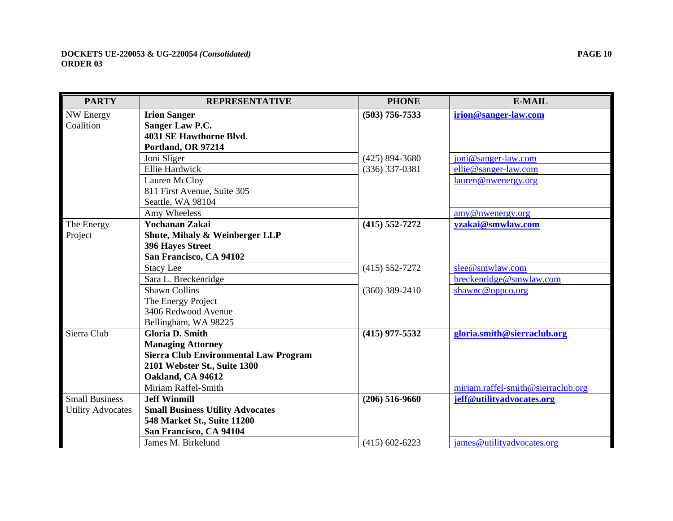| <b>PARTY</b>             | <b>REPRESENTATIVE</b>                        | <b>PHONE</b>       | <b>E-MAIL</b>                      |
|--------------------------|----------------------------------------------|--------------------|------------------------------------|
| <b>NW Energy</b>         | <b>Irion Sanger</b>                          | $(503)$ 756-7533   | irion@sanger-law.com               |
| Coalition                | Sanger Law P.C.                              |                    |                                    |
|                          | 4031 SE Hawthorne Blvd.                      |                    |                                    |
|                          | Portland, OR 97214                           |                    |                                    |
|                          | Joni Sliger                                  | $(425) 894 - 3680$ | joni@sanger-law.com                |
|                          | <b>Ellie Hardwick</b>                        | $(336)$ 337-0381   | ellie@sanger-law.com               |
|                          | Lauren McCloy                                |                    | lauren@nwenergy.org                |
|                          | 811 First Avenue, Suite 305                  |                    |                                    |
|                          | Seattle, WA 98104                            |                    |                                    |
|                          | Amy Wheeless                                 |                    | amy@nwenergy.org                   |
| The Energy               | Yochanan Zakai                               | $(415) 552 - 7272$ | yzakai@smwlaw.com                  |
| Project                  | <b>Shute, Mihaly &amp; Weinberger LLP</b>    |                    |                                    |
|                          | <b>396 Hayes Street</b>                      |                    |                                    |
|                          | San Francisco, CA 94102                      |                    |                                    |
|                          | <b>Stacy Lee</b>                             | $(415) 552 - 7272$ | slee@smwlaw.com                    |
|                          | Sara L. Breckenridge                         |                    | breckenridge@smwlaw.com            |
|                          | <b>Shawn Collins</b>                         | $(360)$ 389-2410   | shawnc@oppco.org                   |
|                          | The Energy Project                           |                    |                                    |
|                          | 3406 Redwood Avenue                          |                    |                                    |
|                          | Bellingham, WA 98225                         |                    |                                    |
| Sierra Club              | <b>Gloria D. Smith</b>                       | $(415)$ 977-5532   | gloria.smith@sierraclub.org        |
|                          | <b>Managing Attorney</b>                     |                    |                                    |
|                          | <b>Sierra Club Environmental Law Program</b> |                    |                                    |
|                          | 2101 Webster St., Suite 1300                 |                    |                                    |
|                          | Oakland, CA 94612                            |                    |                                    |
|                          | Miriam Raffel-Smith                          |                    | miriam.raffel-smith@sierraclub.org |
| <b>Small Business</b>    | <b>Jeff Winmill</b>                          | $(206)$ 516-9660   | jeff@utilityadvocates.org          |
| <b>Utility Advocates</b> | <b>Small Business Utility Advocates</b>      |                    |                                    |
|                          | 548 Market St., Suite 11200                  |                    |                                    |
|                          | San Francisco, CA 94104                      |                    |                                    |
|                          | James M. Birkelund                           | $(415)$ 602-6223   | james@utilityadvocates.org         |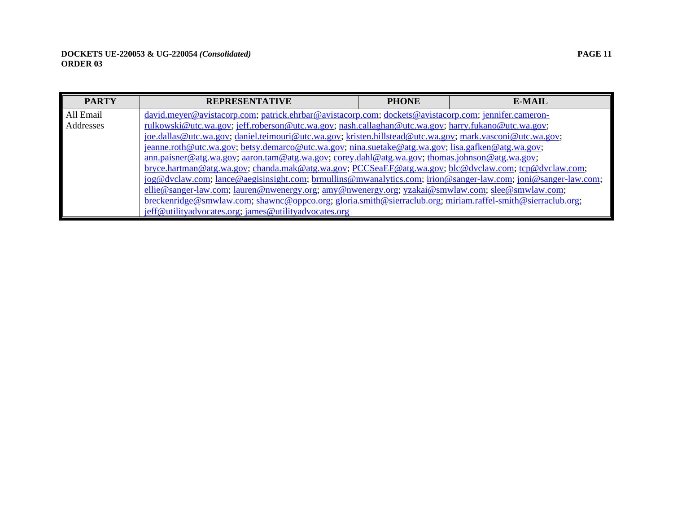| <b>PARTY</b> | <b>REPRESENTATIVE</b>                                                                                         | <b>PHONE</b> | <b>E-MAIL</b> |
|--------------|---------------------------------------------------------------------------------------------------------------|--------------|---------------|
| All Email    | david.meyer@avistacorp.com; patrick.ehrbar@avistacorp.com; dockets@avistacorp.com; jennifer.cameron-          |              |               |
| Addresses    | rulkowski@utc.wa.gov; jeff.roberson@utc.wa.gov; nash.callaghan@utc.wa.gov; harry.fukano@utc.wa.gov;           |              |               |
|              | joe.dallas@utc.wa.gov; daniel.teimouri@utc.wa.gov; kristen.hillstead@utc.wa.gov; mark.vasconi@utc.wa.gov;     |              |               |
|              | jeanne.roth@utc.wa.gov; betsy.demarco@utc.wa.gov; nina.suetake@atg.wa.gov; lisa.gafken@atg.wa.gov;            |              |               |
|              | $ann.paisner@atg.wa.gov$ ; $aaron.tam@atg.wa.gov$ ; $corey.dahl@atg.wa.gov$ ; thomas.johnson@atg.wa.gov;      |              |               |
|              | bryce.hartman@atg.wa.gov; chanda.mak@atg.wa.gov; PCCSeaEF@atg.wa.gov; blc@dvclaw.com; tcp@dvclaw.com;         |              |               |
|              | jog@dvclaw.com; lance@aegisinsight.com; brmullins@mwanalytics.com; jrion@sanger-law.com; joni@sanger-law.com; |              |               |
|              | ellie@sanger-law.com; lauren@nwenergy.org; amy@nwenergy.org; yzakai@smwlaw.com; slee@smwlaw.com;              |              |               |
|              | breckenridge@smwlaw.com; shawnc@oppco.org; gloria.smith@sierraclub.org; miriam.raffel-smith@sierraclub.org;   |              |               |
|              | jeff@utilityadvocates.org; james@utilityadvocates.org                                                         |              |               |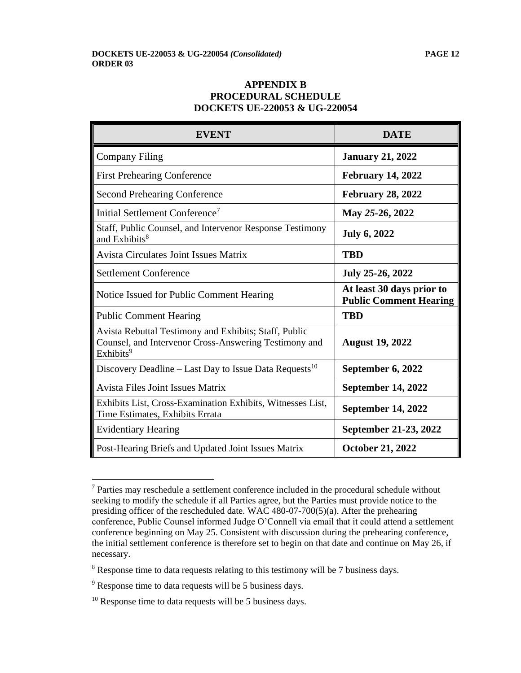## **APPENDIX B PROCEDURAL SCHEDULE DOCKETS UE-220053 & UG-220054**

| <b>EVENT</b>                                                                                                                            | <b>DATE</b>                                                |
|-----------------------------------------------------------------------------------------------------------------------------------------|------------------------------------------------------------|
| <b>Company Filing</b>                                                                                                                   | <b>January 21, 2022</b>                                    |
| <b>First Prehearing Conference</b>                                                                                                      | <b>February 14, 2022</b>                                   |
| <b>Second Prehearing Conference</b>                                                                                                     | <b>February 28, 2022</b>                                   |
| Initial Settlement Conference <sup>7</sup>                                                                                              | May 25-26, 2022                                            |
| Staff, Public Counsel, and Intervenor Response Testimony<br>and Exhibits <sup>8</sup>                                                   | <b>July 6, 2022</b>                                        |
| <b>Avista Circulates Joint Issues Matrix</b>                                                                                            | <b>TBD</b>                                                 |
| <b>Settlement Conference</b>                                                                                                            | July 25-26, 2022                                           |
| Notice Issued for Public Comment Hearing                                                                                                | At least 30 days prior to<br><b>Public Comment Hearing</b> |
| <b>Public Comment Hearing</b>                                                                                                           | <b>TBD</b>                                                 |
| Avista Rebuttal Testimony and Exhibits; Staff, Public<br>Counsel, and Intervenor Cross-Answering Testimony and<br>Exhibits <sup>9</sup> | <b>August 19, 2022</b>                                     |
| Discovery Deadline – Last Day to Issue Data Requests <sup>10</sup>                                                                      | September 6, 2022                                          |
| <b>Avista Files Joint Issues Matrix</b>                                                                                                 | <b>September 14, 2022</b>                                  |
| Exhibits List, Cross-Examination Exhibits, Witnesses List,<br>Time Estimates, Exhibits Errata                                           | <b>September 14, 2022</b>                                  |
| <b>Evidentiary Hearing</b>                                                                                                              | September 21-23, 2022                                      |
| Post-Hearing Briefs and Updated Joint Issues Matrix                                                                                     | <b>October 21, 2022</b>                                    |

<sup>7</sup> Parties may reschedule a settlement conference included in the procedural schedule without seeking to modify the schedule if all Parties agree, but the Parties must provide notice to the presiding officer of the rescheduled date. WAC 480-07-700(5)(a). After the prehearing conference, Public Counsel informed Judge O'Connell via email that it could attend a settlement conference beginning on May 25. Consistent with discussion during the prehearing conference, the initial settlement conference is therefore set to begin on that date and continue on May 26, if necessary.

<sup>&</sup>lt;sup>8</sup> Response time to data requests relating to this testimony will be 7 business days.

<sup>&</sup>lt;sup>9</sup> Response time to data requests will be 5 business days.

 $10$  Response time to data requests will be 5 business days.